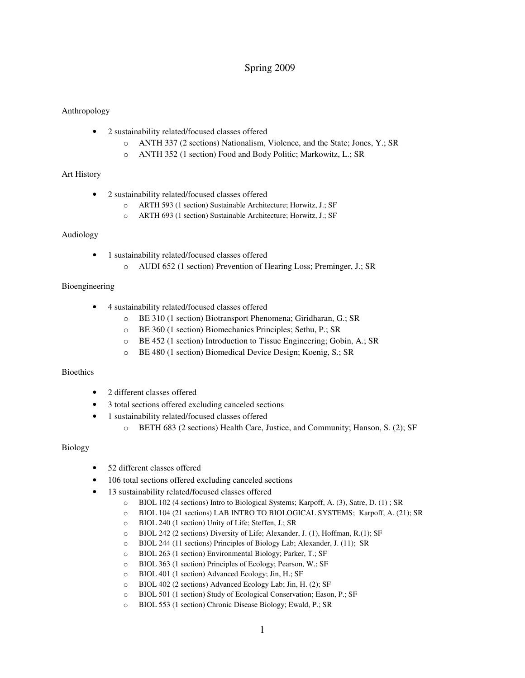# Spring 2009

### Anthropology

- 2 sustainability related/focused classes offered
	- o ANTH 337 (2 sections) Nationalism, Violence, and the State; Jones, Y.; SR
	- o ANTH 352 (1 section) Food and Body Politic; Markowitz, L.; SR

#### Art History

- 2 sustainability related/focused classes offered
	- o ARTH 593 (1 section) Sustainable Architecture; Horwitz, J.; SF
	- o ARTH 693 (1 section) Sustainable Architecture; Horwitz, J.; SF

#### Audiology

- 1 sustainability related/focused classes offered
	- o AUDI 652 (1 section) Prevention of Hearing Loss; Preminger, J.; SR

#### Bioengineering

- 4 sustainability related/focused classes offered
	- o BE 310 (1 section) Biotransport Phenomena; Giridharan, G.; SR
	- o BE 360 (1 section) Biomechanics Principles; Sethu, P.; SR
	- o BE 452 (1 section) Introduction to Tissue Engineering; Gobin, A.; SR
	- o BE 480 (1 section) Biomedical Device Design; Koenig, S.; SR

#### **Bioethics**

- 2 different classes offered
- 3 total sections offered excluding canceled sections
- 1 sustainability related/focused classes offered
	- o BETH 683 (2 sections) Health Care, Justice, and Community; Hanson, S. (2); SF

#### Biology

- 52 different classes offered
- 106 total sections offered excluding canceled sections
- 13 sustainability related/focused classes offered
	- o BIOL 102 (4 sections) Intro to Biological Systems; Karpoff, A. (3), Satre, D. (1) ; SR
	- o BIOL 104 (21 sections) LAB INTRO TO BIOLOGICAL SYSTEMS; Karpoff, A. (21); SR
	- o BIOL 240 (1 section) Unity of Life; Steffen, J.; SR
	- o BIOL 242 (2 sections) Diversity of Life; Alexander, J. (1), Hoffman, R.(1); SF
	- o BIOL 244 (11 sections) Principles of Biology Lab; Alexander, J. (11); SR
	- o BIOL 263 (1 section) Environmental Biology; Parker, T.; SF
	- o BIOL 363 (1 section) Principles of Ecology; Pearson, W.; SF
	- o BIOL 401 (1 section) Advanced Ecology; Jin, H.; SF
	- o BIOL 402 (2 sections) Advanced Ecology Lab; Jin, H. (2); SF
	- o BIOL 501 (1 section) Study of Ecological Conservation; Eason, P.; SF
	- o BIOL 553 (1 section) Chronic Disease Biology; Ewald, P.; SR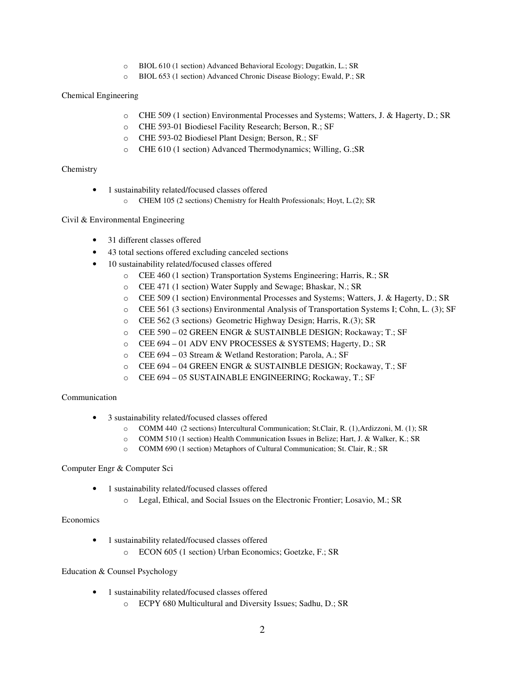- o BIOL 610 (1 section) Advanced Behavioral Ecology; Dugatkin, L.; SR
- o BIOL 653 (1 section) Advanced Chronic Disease Biology; Ewald, P.; SR

### Chemical Engineering

- o CHE 509 (1 section) Environmental Processes and Systems; Watters, J. & Hagerty, D.; SR
- o CHE 593-01 Biodiesel Facility Research; Berson, R.; SF
- o CHE 593-02 Biodiesel Plant Design; Berson, R.; SF
- o CHE 610 (1 section) Advanced Thermodynamics; Willing, G.;SR

### **Chemistry**

- 1 sustainability related/focused classes offered
	- o CHEM 105 (2 sections) Chemistry for Health Professionals; Hoyt, L.(2); SR

### Civil & Environmental Engineering

- 31 different classes offered
- 43 total sections offered excluding canceled sections
- 10 sustainability related/focused classes offered
	- o CEE 460 (1 section) Transportation Systems Engineering; Harris, R.; SR
	- o CEE 471 (1 section) Water Supply and Sewage; Bhaskar, N.; SR
	- o CEE 509 (1 section) Environmental Processes and Systems; Watters, J. & Hagerty, D.; SR
	- o CEE 561 (3 sections) Environmental Analysis of Transportation Systems I; Cohn, L. (3); SF
	- o CEE 562 (3 sections) Geometric Highway Design; Harris, R.(3); SR
	- o CEE 590 02 GREEN ENGR & SUSTAINBLE DESIGN; Rockaway; T.; SF
	- o CEE 694 01 ADV ENV PROCESSES & SYSTEMS; Hagerty, D.; SR
	- o CEE 694 03 Stream & Wetland Restoration; Parola, A.; SF
	- o CEE 694 04 GREEN ENGR & SUSTAINBLE DESIGN; Rockaway, T.; SF
	- o CEE 694 05 SUSTAINABLE ENGINEERING; Rockaway, T.; SF

# Communication

- 3 sustainability related/focused classes offered
	- o COMM 440 (2 sections) Intercultural Communication; St.Clair, R. (1),Ardizzoni, M. (1); SR
	- o COMM 510 (1 section) Health Communication Issues in Belize; Hart, J. & Walker, K.; SR
	- o COMM 690 (1 section) Metaphors of Cultural Communication; St. Clair, R.; SR

# Computer Engr & Computer Sci

- 1 sustainability related/focused classes offered
	- o Legal, Ethical, and Social Issues on the Electronic Frontier; Losavio, M.; SR

# Economics

- 1 sustainability related/focused classes offered
	- o ECON 605 (1 section) Urban Economics; Goetzke, F.; SR

# Education & Counsel Psychology

- 1 sustainability related/focused classes offered
	- o ECPY 680 Multicultural and Diversity Issues; Sadhu, D.; SR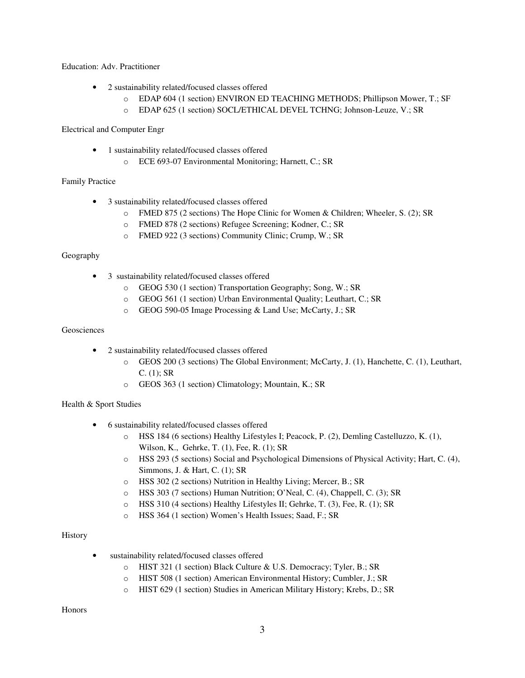Education: Adv. Practitioner

- 2 sustainability related/focused classes offered
	- o EDAP 604 (1 section) ENVIRON ED TEACHING METHODS; Phillipson Mower, T.; SF
	- o EDAP 625 (1 section) SOCL/ETHICAL DEVEL TCHNG; Johnson-Leuze, V.; SR

Electrical and Computer Engr

- 1 sustainability related/focused classes offered
	- o ECE 693-07 Environmental Monitoring; Harnett, C.; SR

# Family Practice

- 3 sustainability related/focused classes offered
	- o FMED 875 (2 sections) The Hope Clinic for Women & Children; Wheeler, S. (2); SR
	- o FMED 878 (2 sections) Refugee Screening; Kodner, C.; SR
	- o FMED 922 (3 sections) Community Clinic; Crump, W.; SR

#### Geography

- 3 sustainability related/focused classes offered
	- o GEOG 530 (1 section) Transportation Geography; Song, W.; SR
	- o GEOG 561 (1 section) Urban Environmental Quality; Leuthart, C.; SR
	- o GEOG 590-05 Image Processing & Land Use; McCarty, J.; SR

# Geosciences

- 2 sustainability related/focused classes offered
	- o GEOS 200 (3 sections) The Global Environment; McCarty, J. (1), Hanchette, C. (1), Leuthart,  $C. (1); SR$
	- o GEOS 363 (1 section) Climatology; Mountain, K.; SR

# Health & Sport Studies

- 6 sustainability related/focused classes offered
	- o HSS 184 (6 sections) Healthy Lifestyles I; Peacock, P. (2), Demling Castelluzzo, K. (1), Wilson, K., Gehrke, T. (1), Fee, R. (1); SR
	- o HSS 293 (5 sections) Social and Psychological Dimensions of Physical Activity; Hart, C. (4), Simmons, J. & Hart, C. (1); SR
	- o HSS 302 (2 sections) Nutrition in Healthy Living; Mercer, B.; SR
	- o HSS 303 (7 sections) Human Nutrition; O'Neal, C. (4), Chappell, C. (3); SR
	- o HSS 310 (4 sections) Healthy Lifestyles II; Gehrke, T. (3), Fee, R. (1); SR
	- o HSS 364 (1 section) Women's Health Issues; Saad, F.; SR

# **History**

- sustainability related/focused classes offered
	- o HIST 321 (1 section) Black Culture & U.S. Democracy; Tyler, B.; SR
	- o HIST 508 (1 section) American Environmental History; Cumbler, J.; SR
	- o HIST 629 (1 section) Studies in American Military History; Krebs, D.; SR

Honors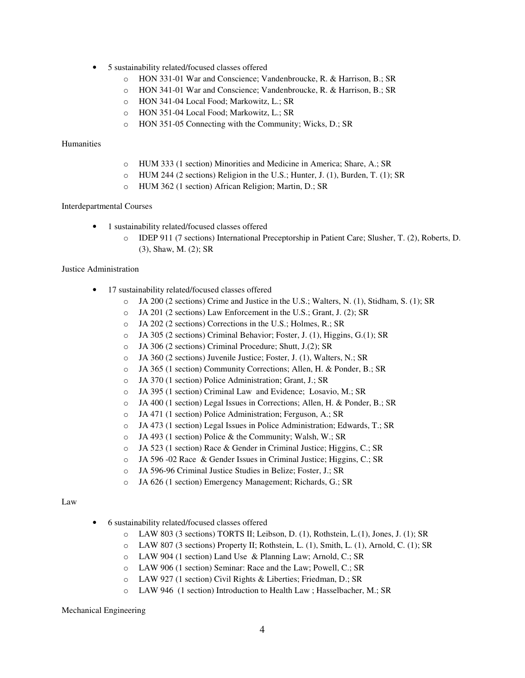- 5 sustainability related/focused classes offered
	- o HON 331-01 War and Conscience; Vandenbroucke, R. & Harrison, B.; SR
	- o HON 341-01 War and Conscience; Vandenbroucke, R. & Harrison, B.; SR
	- o HON 341-04 Local Food; Markowitz, L.; SR
	- o HON 351-04 Local Food; Markowitz, L.; SR
	- o HON 351-05 Connecting with the Community; Wicks, D.; SR

#### Humanities

- o HUM 333 (1 section) Minorities and Medicine in America; Share, A.; SR
- o HUM 244 (2 sections) Religion in the U.S.; Hunter, J. (1), Burden, T. (1); SR
- o HUM 362 (1 section) African Religion; Martin, D.; SR

#### Interdepartmental Courses

- 1 sustainability related/focused classes offered
	- o IDEP 911 (7 sections) International Preceptorship in Patient Care; Slusher, T. (2), Roberts, D. (3), Shaw, M. (2); SR

#### Justice Administration

- 17 sustainability related/focused classes offered
	- o JA 200 (2 sections) Crime and Justice in the U.S.; Walters, N. (1), Stidham, S. (1); SR
	- o JA 201 (2 sections) Law Enforcement in the U.S.; Grant, J. (2); SR
	- o JA 202 (2 sections) Corrections in the U.S.; Holmes, R.; SR
	- o JA 305 (2 sections) Criminal Behavior; Foster, J. (1), Higgins, G.(1); SR
	- o JA 306 (2 sections) Criminal Procedure; Shutt, J.(2); SR
	- o JA 360 (2 sections) Juvenile Justice; Foster, J. (1), Walters, N.; SR
	- o JA 365 (1 section) Community Corrections; Allen, H. & Ponder, B.; SR
	- o JA 370 (1 section) Police Administration; Grant, J.; SR
	- o JA 395 (1 section) Criminal Law and Evidence; Losavio, M.; SR
	- o JA 400 (1 section) Legal Issues in Corrections; Allen, H. & Ponder, B.; SR
	- o JA 471 (1 section) Police Administration; Ferguson, A.; SR
	- o JA 473 (1 section) Legal Issues in Police Administration; Edwards, T.; SR
	- o JA 493 (1 section) Police & the Community; Walsh, W.; SR
	- o JA 523 (1 section) Race & Gender in Criminal Justice; Higgins, C.; SR
	- o JA 596 -02 Race & Gender Issues in Criminal Justice; Higgins, C.; SR
	- o JA 596-96 Criminal Justice Studies in Belize; Foster, J.; SR
	- o JA 626 (1 section) Emergency Management; Richards, G.; SR

#### Law

- 6 sustainability related/focused classes offered
	- o LAW 803 (3 sections) TORTS II; Leibson, D. (1), Rothstein, L.(1), Jones, J. (1); SR
	- o LAW 807 (3 sections) Property II; Rothstein, L. (1), Smith, L. (1), Arnold, C. (1); SR
	- o LAW 904 (1 section) Land Use & Planning Law; Arnold, C.; SR
	- o LAW 906 (1 section) Seminar: Race and the Law; Powell, C.; SR
	- o LAW 927 (1 section) Civil Rights & Liberties; Friedman, D.; SR
	- o LAW 946 (1 section) Introduction to Health Law ; Hasselbacher, M.; SR

#### Mechanical Engineering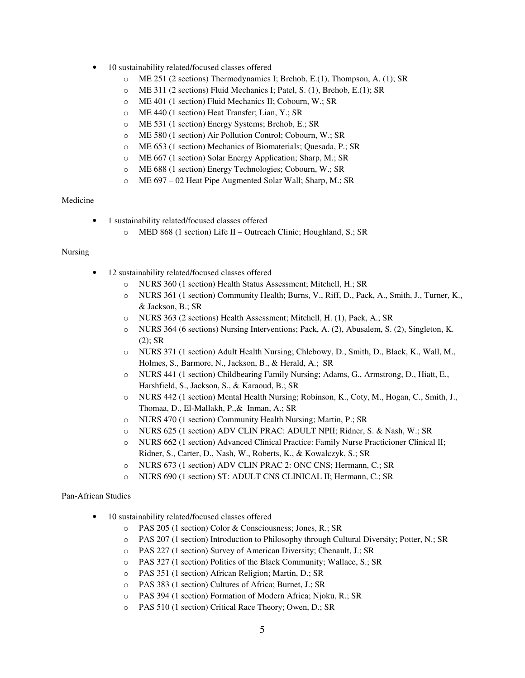- 10 sustainability related/focused classes offered
	- o ME 251 (2 sections) Thermodynamics I; Brehob, E.(1), Thompson, A. (1); SR
	- o ME 311 (2 sections) Fluid Mechanics I; Patel, S. (1), Brehob, E.(1); SR
	- o ME 401 (1 section) Fluid Mechanics II; Cobourn, W.; SR
	- o ME 440 (1 section) Heat Transfer; Lian, Y.; SR
	- o ME 531 (1 section) Energy Systems; Brehob, E.; SR
	- o ME 580 (1 section) Air Pollution Control; Cobourn, W.; SR
	- o ME 653 (1 section) Mechanics of Biomaterials; Quesada, P.; SR
	- o ME 667 (1 section) Solar Energy Application; Sharp, M.; SR
	- o ME 688 (1 section) Energy Technologies; Cobourn, W.; SR
	- o ME 697 02 Heat Pipe Augmented Solar Wall; Sharp, M.; SR

# Medicine

- 1 sustainability related/focused classes offered
	- o MED 868 (1 section) Life II Outreach Clinic; Houghland, S.; SR

#### Nursing

- 12 sustainability related/focused classes offered
	- o NURS 360 (1 section) Health Status Assessment; Mitchell, H.; SR
	- o NURS 361 (1 section) Community Health; Burns, V., Riff, D., Pack, A., Smith, J., Turner, K., & Jackson, B.; SR
	- o NURS 363 (2 sections) Health Assessment; Mitchell, H. (1), Pack, A.; SR
	- o NURS 364 (6 sections) Nursing Interventions; Pack, A. (2), Abusalem, S. (2), Singleton, K.  $(2)$ ; SR
	- o NURS 371 (1 section) Adult Health Nursing; Chlebowy, D., Smith, D., Black, K., Wall, M., Holmes, S., Barmore, N., Jackson, B., & Herald, A.; SR
	- o NURS 441 (1 section) Childbearing Family Nursing; Adams, G., Armstrong, D., Hiatt, E., Harshfield, S., Jackson, S., & Karaoud, B.; SR
	- o NURS 442 (1 section) Mental Health Nursing; Robinson, K., Coty, M., Hogan, C., Smith, J., Thomaa, D., El-Mallakh, P.,& Inman, A.; SR
	- o NURS 470 (1 section) Community Health Nursing; Martin, P.; SR
	- o NURS 625 (1 section) ADV CLIN PRAC: ADULT NPII; Ridner, S. & Nash, W.; SR
	- o NURS 662 (1 section) Advanced Clinical Practice: Family Nurse Practicioner Clinical II; Ridner, S., Carter, D., Nash, W., Roberts, K., & Kowalczyk, S.; SR
	- o NURS 673 (1 section) ADV CLIN PRAC 2: ONC CNS; Hermann, C.; SR
	- o NURS 690 (1 section) ST: ADULT CNS CLINICAL II; Hermann, C.; SR

#### Pan-African Studies

- 10 sustainability related/focused classes offered
	- o PAS 205 (1 section) Color & Consciousness; Jones, R.; SR
	- o PAS 207 (1 section) Introduction to Philosophy through Cultural Diversity; Potter, N.; SR
	- o PAS 227 (1 section) Survey of American Diversity; Chenault, J.; SR
	- o PAS 327 (1 section) Politics of the Black Community; Wallace, S.; SR
	- o PAS 351 (1 section) African Religion; Martin, D.; SR
	- o PAS 383 (1 section) Cultures of Africa; Burnet, J.; SR
	- o PAS 394 (1 section) Formation of Modern Africa; Njoku, R.; SR
	- o PAS 510 (1 section) Critical Race Theory; Owen, D.; SR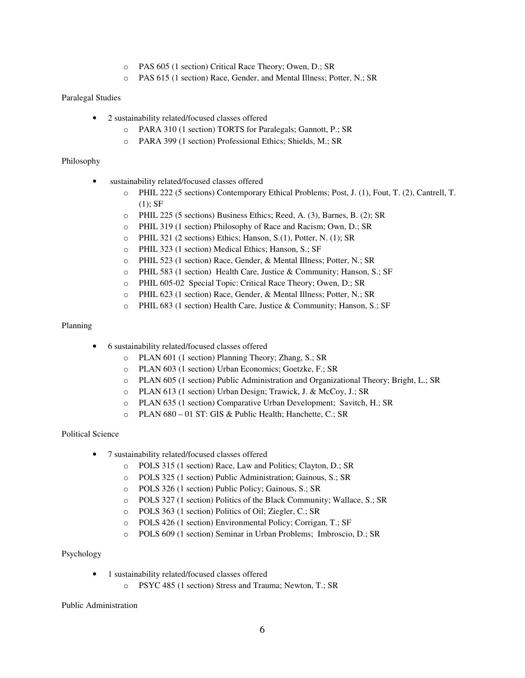- o PAS 605 (1 section) Critical Race Theory; Owen, D.; SR
- o PAS 615 (1 section) Race, Gender, and Mental Illness; Potter, N.; SR

### Paralegal Studies

- 2 sustainability related/focused classes offered
	- o PARA 310 (1 section) TORTS for Paralegals; Gannott, P.; SR
	- o PARA 399 (1 section) Professional Ethics; Shields, M.; SR

### Philosophy

- sustainability related/focused classes offered
	- o PHIL 222 (5 sections) Contemporary Ethical Problems; Post, J. (1), Fout, T. (2), Cantrell, T.  $(1);$  SF
	- o PHIL 225 (5 sections) Business Ethics; Reed, A. (3), Barnes, B. (2); SR
	- o PHIL 319 (1 section) Philosophy of Race and Racism; Own, D.; SR
	- o PHIL 321 (2 sections) Ethics; Hanson, S.(1), Potter, N. (1); SR
	- o PHIL 323 (1 section) Medical Ethics; Hanson, S.; SF
	- o PHIL 523 (1 section) Race, Gender, & Mental Illness; Potter, N.; SR
	- o PHIL 583 (1 section) Health Care, Justice & Community; Hanson, S.; SF
	- o PHIL 605-02 Special Topic: Critical Race Theory; Owen, D.; SR
	- o PHIL 623 (1 section) Race, Gender, & Mental Illness; Potter, N.; SR
	- o PHIL 683 (1 section) Health Care, Justice & Community; Hanson, S.; SF

### Planning

- 6 sustainability related/focused classes offered
	- o PLAN 601 (1 section) Planning Theory; Zhang, S.; SR
	- o PLAN 603 (1 section) Urban Economics; Goetzke, F.; SR
	- o PLAN 605 (1 section) Public Administration and Organizational Theory; Bright, L.; SR
	- o PLAN 613 (1 section) Urban Design; Trawick, J. & McCoy, J.; SR
	- o PLAN 635 (1 section) Comparative Urban Development; Savitch, H.; SR
	- o PLAN 680 01 ST: GIS & Public Health; Hanchette, C.; SR

# Political Science

- 7 sustainability related/focused classes offered
	- o POLS 315 (1 section) Race, Law and Politics; Clayton, D.; SR
	- o POLS 325 (1 section) Public Administration; Gainous, S.; SR
	- o POLS 326 (1 section) Public Policy; Gainous, S.; SR
	- o POLS 327 (1 section) Politics of the Black Community; Wallace, S.; SR
	- o POLS 363 (1 section) Politics of Oil; Ziegler, C.; SR
	- o POLS 426 (1 section) Environmental Policy; Corrigan, T.; SF
	- o POLS 609 (1 section) Seminar in Urban Problems; Imbroscio, D.; SR

# Psychology

- 1 sustainability related/focused classes offered
	- o PSYC 485 (1 section) Stress and Trauma; Newton, T.; SR

Public Administration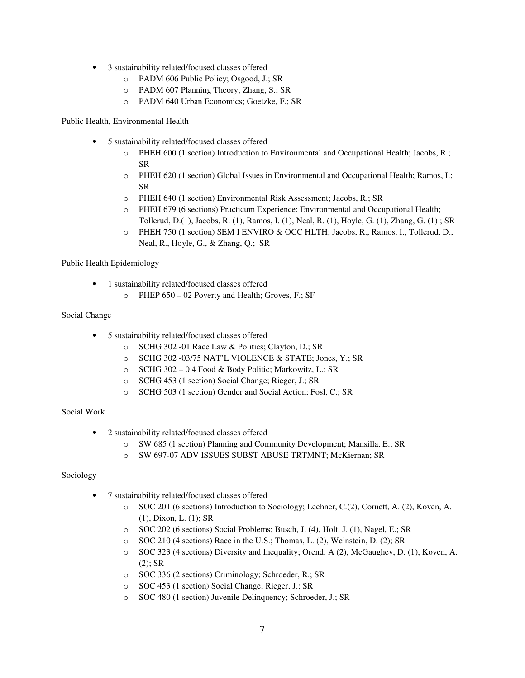- 3 sustainability related/focused classes offered
	- o PADM 606 Public Policy; Osgood, J.; SR
	- o PADM 607 Planning Theory; Zhang, S.; SR
	- o PADM 640 Urban Economics; Goetzke, F.; SR

Public Health, Environmental Health

- 5 sustainability related/focused classes offered
	- o PHEH 600 (1 section) Introduction to Environmental and Occupational Health; Jacobs, R.; SR
	- o PHEH 620 (1 section) Global Issues in Environmental and Occupational Health; Ramos, I.; SR
	- o PHEH 640 (1 section) Environmental Risk Assessment; Jacobs, R.; SR
	- o PHEH 679 (6 sections) Practicum Experience: Environmental and Occupational Health; Tollerud, D.(1), Jacobs, R. (1), Ramos, I. (1), Neal, R. (1), Hoyle, G. (1), Zhang, G. (1) ; SR
	- o PHEH 750 (1 section) SEM I ENVIRO & OCC HLTH; Jacobs, R., Ramos, I., Tollerud, D., Neal, R., Hoyle, G., & Zhang, Q.; SR

Public Health Epidemiology

- 1 sustainability related/focused classes offered
	- o PHEP 650 02 Poverty and Health; Groves, F.; SF

# Social Change

- 5 sustainability related/focused classes offered
	- o SCHG 302 -01 Race Law & Politics; Clayton, D.; SR
	- o SCHG 302 -03/75 NAT'L VIOLENCE & STATE; Jones, Y.; SR
	- o SCHG 302 0 4 Food & Body Politic; Markowitz, L.; SR
	- o SCHG 453 (1 section) Social Change; Rieger, J.; SR
	- o SCHG 503 (1 section) Gender and Social Action; Fosl, C.; SR

# Social Work

- 2 sustainability related/focused classes offered
	- o SW 685 (1 section) Planning and Community Development; Mansilla, E.; SR
	- o SW 697-07 ADV ISSUES SUBST ABUSE TRTMNT; McKiernan; SR

# Sociology

- 7 sustainability related/focused classes offered
	- o SOC 201 (6 sections) Introduction to Sociology; Lechner, C.(2), Cornett, A. (2), Koven, A. (1), Dixon, L. (1); SR
	- o SOC 202 (6 sections) Social Problems; Busch, J. (4), Holt, J. (1), Nagel, E.; SR
	- o SOC 210 (4 sections) Race in the U.S.; Thomas, L. (2), Weinstein, D. (2); SR
	- o SOC 323 (4 sections) Diversity and Inequality; Orend, A (2), McGaughey, D. (1), Koven, A.  $(2)$ ; SR
	- o SOC 336 (2 sections) Criminology; Schroeder, R.; SR
	- o SOC 453 (1 section) Social Change; Rieger, J.; SR
	- o SOC 480 (1 section) Juvenile Delinquency; Schroeder, J.; SR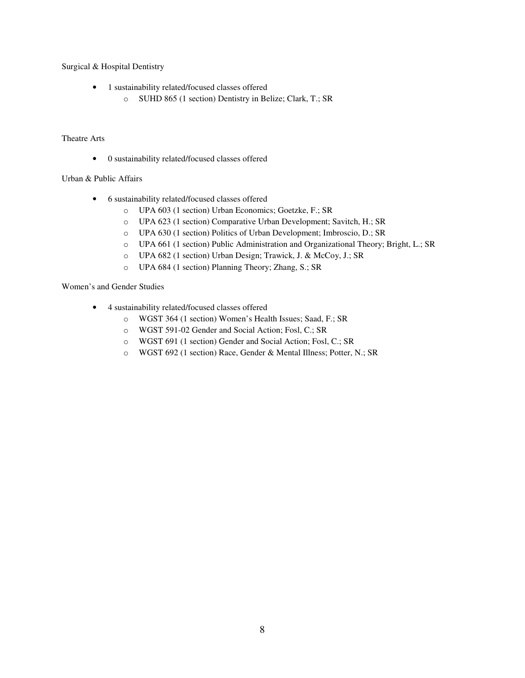Surgical & Hospital Dentistry

- 1 sustainability related/focused classes offered
	- o SUHD 865 (1 section) Dentistry in Belize; Clark, T.; SR

### Theatre Arts

• 0 sustainability related/focused classes offered

### Urban & Public Affairs

- 6 sustainability related/focused classes offered
	- o UPA 603 (1 section) Urban Economics; Goetzke, F.; SR
	- o UPA 623 (1 section) Comparative Urban Development; Savitch, H.; SR
	- o UPA 630 (1 section) Politics of Urban Development; Imbroscio, D.; SR
	- o UPA 661 (1 section) Public Administration and Organizational Theory; Bright, L.; SR
	- o UPA 682 (1 section) Urban Design; Trawick, J. & McCoy, J.; SR
	- o UPA 684 (1 section) Planning Theory; Zhang, S.; SR

#### Women's and Gender Studies

- 4 sustainability related/focused classes offered
	- o WGST 364 (1 section) Women's Health Issues; Saad, F.; SR
	- o WGST 591-02 Gender and Social Action; Fosl, C.; SR
	- o WGST 691 (1 section) Gender and Social Action; Fosl, C.; SR
	- o WGST 692 (1 section) Race, Gender & Mental Illness; Potter, N.; SR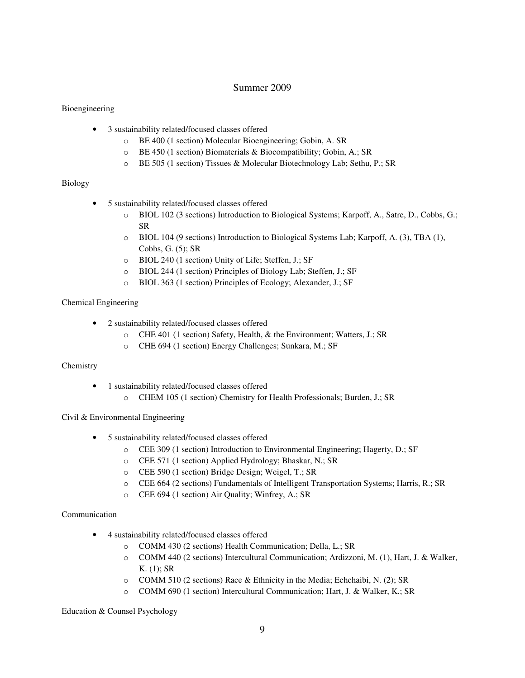# Summer 2009

# Bioengineering

- 3 sustainability related/focused classes offered
	- o BE 400 (1 section) Molecular Bioengineering; Gobin, A. SR
	- o BE 450 (1 section) Biomaterials & Biocompatibility; Gobin, A.; SR
	- o BE 505 (1 section) Tissues & Molecular Biotechnology Lab; Sethu, P.; SR

# Biology

- 5 sustainability related/focused classes offered
	- o BIOL 102 (3 sections) Introduction to Biological Systems; Karpoff, A., Satre, D., Cobbs, G.; SR
	- o BIOL 104 (9 sections) Introduction to Biological Systems Lab; Karpoff, A. (3), TBA (1), Cobbs, G. (5); SR
	- o BIOL 240 (1 section) Unity of Life; Steffen, J.; SF
	- o BIOL 244 (1 section) Principles of Biology Lab; Steffen, J.; SF
	- o BIOL 363 (1 section) Principles of Ecology; Alexander, J.; SF

# Chemical Engineering

- 2 sustainability related/focused classes offered
	- o CHE 401 (1 section) Safety, Health, & the Environment; Watters, J.; SR
	- o CHE 694 (1 section) Energy Challenges; Sunkara, M.; SF

# Chemistry

- 1 sustainability related/focused classes offered
	- o CHEM 105 (1 section) Chemistry for Health Professionals; Burden, J.; SR

# Civil & Environmental Engineering

- 5 sustainability related/focused classes offered
	- o CEE 309 (1 section) Introduction to Environmental Engineering; Hagerty, D.; SF
	- o CEE 571 (1 section) Applied Hydrology; Bhaskar, N.; SR
	- o CEE 590 (1 section) Bridge Design; Weigel, T.; SR
	- o CEE 664 (2 sections) Fundamentals of Intelligent Transportation Systems; Harris, R.; SR
	- o CEE 694 (1 section) Air Quality; Winfrey, A.; SR

# Communication

- 4 sustainability related/focused classes offered
	- o COMM 430 (2 sections) Health Communication; Della, L.; SR
	- o COMM 440 (2 sections) Intercultural Communication; Ardizzoni, M. (1), Hart, J. & Walker, K. (1); SR
	- $\circ$  COMM 510 (2 sections) Race & Ethnicity in the Media; Echchaibi, N. (2); SR
	- o COMM 690 (1 section) Intercultural Communication; Hart, J. & Walker, K.; SR

# Education & Counsel Psychology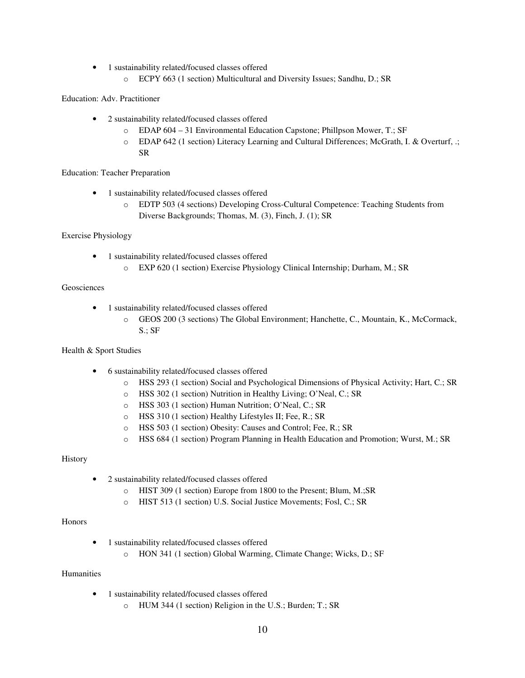- 1 sustainability related/focused classes offered
	- o ECPY 663 (1 section) Multicultural and Diversity Issues; Sandhu, D.; SR

Education: Adv. Practitioner

- 2 sustainability related/focused classes offered
	- o EDAP 604 31 Environmental Education Capstone; Phillpson Mower, T.; SF
	- o EDAP 642 (1 section) Literacy Learning and Cultural Differences; McGrath, I. & Overturf, .; SR

# Education: Teacher Preparation

- 1 sustainability related/focused classes offered
	- o EDTP 503 (4 sections) Developing Cross-Cultural Competence: Teaching Students from Diverse Backgrounds; Thomas, M. (3), Finch, J. (1); SR

# Exercise Physiology

- 1 sustainability related/focused classes offered
	- o EXP 620 (1 section) Exercise Physiology Clinical Internship; Durham, M.; SR

# Geosciences

- 1 sustainability related/focused classes offered
	- o GEOS 200 (3 sections) The Global Environment; Hanchette, C., Mountain, K., McCormack, S.; SF

# Health & Sport Studies

- 6 sustainability related/focused classes offered
	- o HSS 293 (1 section) Social and Psychological Dimensions of Physical Activity; Hart, C.; SR
	- o HSS 302 (1 section) Nutrition in Healthy Living; O'Neal, C.; SR
	- o HSS 303 (1 section) Human Nutrition; O'Neal, C.; SR
	- o HSS 310 (1 section) Healthy Lifestyles II; Fee, R.; SR
	- o HSS 503 (1 section) Obesity: Causes and Control; Fee, R.; SR
	- o HSS 684 (1 section) Program Planning in Health Education and Promotion; Wurst, M.; SR

# **History**

- 2 sustainability related/focused classes offered
	- o HIST 309 (1 section) Europe from 1800 to the Present; Blum, M.;SR
	- o HIST 513 (1 section) U.S. Social Justice Movements; Fosl, C.; SR

#### Honors

- 1 sustainability related/focused classes offered
	- o HON 341 (1 section) Global Warming, Climate Change; Wicks, D.; SF

# Humanities

- 1 sustainability related/focused classes offered
	- o HUM 344 (1 section) Religion in the U.S.; Burden; T.; SR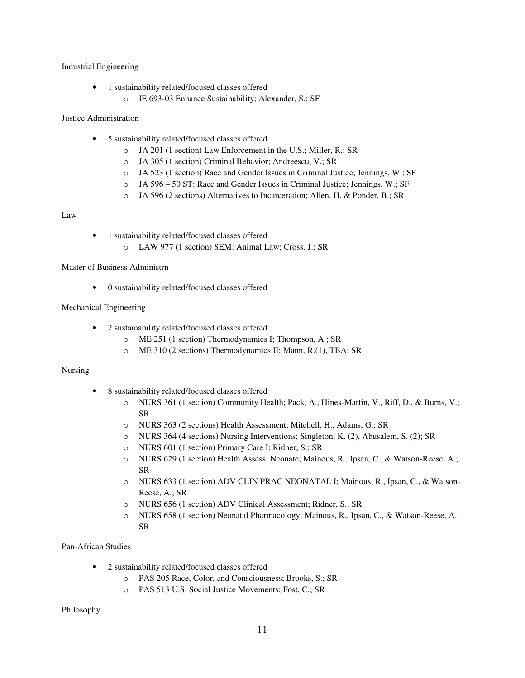### Industrial Engineering

- 1 sustainability related/focused classes offered
	- o IE 693-03 Enhance Sustainability; Alexander, S.; SF

### Justice Administration

- 5 sustainability related/focused classes offered
	- o JA 201 (1 section) Law Enforcement in the U.S.; Miller, R.; SR
	- o JA 305 (1 section) Criminal Behavior; Andreescu, V.; SR
	- o JA 523 (1 section) Race and Gender Issues in Criminal Justice; Jennings, W.; SF
	- o JA 596 50 ST: Race and Gender Issues in Criminal Justice; Jennings, W.; SF
	- o JA 596 (2 sections) Alternatives to Incarceration; Allen, H. & Ponder, B.; SR

### Law

- 1 sustainability related/focused classes offered
	- o LAW 977 (1 section) SEM: Animal Law; Cross, J.; SR

Master of Business Administrn

• 0 sustainability related/focused classes offered

# Mechanical Engineering

- 2 sustainability related/focused classes offered
	- o ME 251 (1 section) Thermodynamics I; Thompson, A.; SR
	- o ME 310 (2 sections) Thermodynamics II; Mann, R.(1), TBA; SR

# Nursing

- 8 sustainability related/focused classes offered
	- o NURS 361 (1 section) Community Health; Pack, A., Hines-Martin, V., Riff, D., & Burns, V.; SR
	- o NURS 363 (2 sections) Health Assessment; Mitchell, H., Adams, G.; SR
	- o NURS 364 (4 sections) Nursing Interventions; Singleton, K. (2), Abusalem, S. (2); SR
	- o NURS 601 (1 section) Primary Care I; Ridner, S.; SR
	- o NURS 629 (1 section) Health Assess: Neonate; Mainous, R., Ipsan, C., & Watson-Reese, A.; SR
	- o NURS 633 (1 section) ADV CLIN PRAC NEONATAL I; Mainous, R., Ipsan, C., & Watson-Reese, A.; SR
	- o NURS 656 (1 section) ADV Clinical Assessment; Ridner, S.; SR
	- o NURS 658 (1 section) Neonatal Pharmacology; Mainous, R., Ipsan, C., & Watson-Reese, A.; SR

# Pan-African Studies

- 2 sustainability related/focused classes offered
	- o PAS 205 Race, Color, and Consciousness; Brooks, S.; SR
	- o PAS 513 U.S. Social Justice Movements; Fost, C.; SR

Philosophy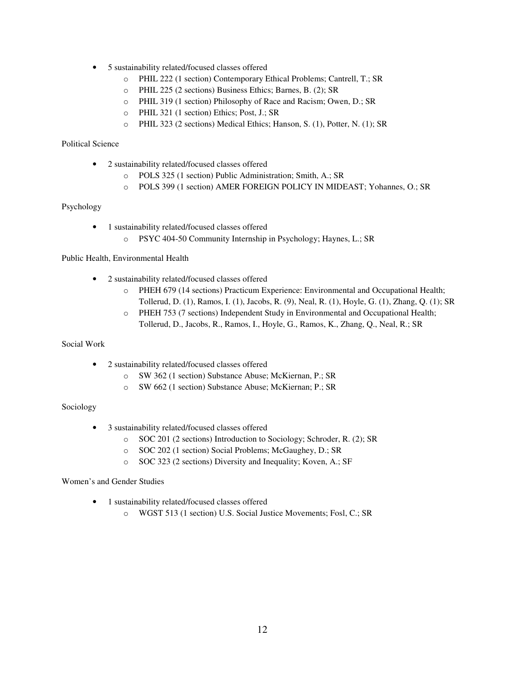- 5 sustainability related/focused classes offered
	- o PHIL 222 (1 section) Contemporary Ethical Problems; Cantrell, T.; SR
	- o PHIL 225 (2 sections) Business Ethics; Barnes, B. (2); SR
	- o PHIL 319 (1 section) Philosophy of Race and Racism; Owen, D.; SR
	- o PHIL 321 (1 section) Ethics; Post, J.; SR
	- o PHIL 323 (2 sections) Medical Ethics; Hanson, S. (1), Potter, N. (1); SR

# Political Science

- 2 sustainability related/focused classes offered
	- o POLS 325 (1 section) Public Administration; Smith, A.; SR
	- o POLS 399 (1 section) AMER FOREIGN POLICY IN MIDEAST; Yohannes, O.; SR

# Psychology

- 1 sustainability related/focused classes offered
	- o PSYC 404-50 Community Internship in Psychology; Haynes, L.; SR

# Public Health, Environmental Health

- 2 sustainability related/focused classes offered
	- o PHEH 679 (14 sections) Practicum Experience: Environmental and Occupational Health; Tollerud, D. (1), Ramos, I. (1), Jacobs, R. (9), Neal, R. (1), Hoyle, G. (1), Zhang, Q. (1); SR
	- o PHEH 753 (7 sections) Independent Study in Environmental and Occupational Health; Tollerud, D., Jacobs, R., Ramos, I., Hoyle, G., Ramos, K., Zhang, Q., Neal, R.; SR

# Social Work

- 2 sustainability related/focused classes offered
	- o SW 362 (1 section) Substance Abuse; McKiernan, P.; SR
	- o SW 662 (1 section) Substance Abuse; McKiernan; P.; SR

# Sociology

- 3 sustainability related/focused classes offered
	- o SOC 201 (2 sections) Introduction to Sociology; Schroder, R. (2); SR
	- o SOC 202 (1 section) Social Problems; McGaughey, D.; SR
	- o SOC 323 (2 sections) Diversity and Inequality; Koven, A.; SF

#### Women's and Gender Studies

- 1 sustainability related/focused classes offered
	- o WGST 513 (1 section) U.S. Social Justice Movements; Fosl, C.; SR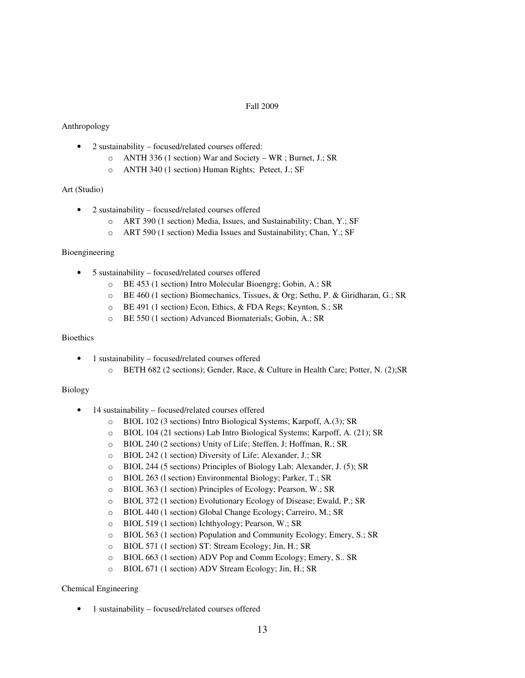### Fall 2009

### Anthropology

- 2 sustainability focused/related courses offered:
	- o ANTH 336 (1 section) War and Society WR ; Burnet, J.; SR
	- o ANTH 340 (1 section) Human Rights; Peteet, J.; SF

#### Art (Studio)

- 2 sustainability focused/related courses offered
	- o ART 390 (1 section) Media, Issues, and Sustainability; Chan, Y.; SF
	- o ART 590 (1 section) Media Issues and Sustainability; Chan, Y.; SF

#### Bioengineering

- 5 sustainability focused/related courses offered
	- o BE 453 (1 section) Intro Molecular Bioengrg; Gobin, A.; SR
	- o BE 460 (1 section) Biomechanics, Tissues, & Org; Sethu, P. & Giridharan, G.; SR
	- o BE 491 (1 section) Econ, Ethics, & FDA Regs; Keynton, S.; SR
	- o BE 550 (1 section) Advanced Biomaterials; Gobin, A.; SR

#### Bioethics

- 1 sustainability focused/related courses offered
	- o BETH 682 (2 sections); Gender, Race, & Culture in Health Care; Potter, N. (2);SR

### Biology

- 14 sustainability focused/related courses offered
	- o BIOL 102 (3 sections) Intro Biological Systems; Karpoff, A.(3); SR
	- o BIOL 104 (21 sections) Lab Intro Biological Systems; Karpoff, A. (21); SR
	- o BIOL 240 (2 sections) Unity of Life; Steffen, J; Hoffman, R.; SR
	- o BIOL 242 (1 section) Diversity of Life; Alexander, J.; SR
	- o BIOL 244 (5 sections) Principles of Biology Lab; Alexander, J. (5); SR
	- o BIOL 263 (l section) Environmental Biology; Parker, T.; SR
	- o BIOL 363 (1 section) Principles of Ecology; Pearson, W.; SR
	- o BIOL 372 (1 section) Evolutionary Ecology of Disease; Ewald, P.; SR
	- o BIOL 440 (1 section) Global Change Ecology; Carreiro, M.; SR
	- o BIOL 519 (1 section) Ichthyology; Pearson, W.; SR
	- o BIOL 563 (1 section) Population and Community Ecology; Emery, S.; SR
	- o BIOL 571 (1 section) ST: Stream Ecology; Jin, H.; SR
	- o BIOL 663 (1 section) ADV Pop and Comm Ecology; Emery, S.. SR
	- o BIOL 671 (1 section) ADV Stream Ecology; Jin, H.; SR

#### Chemical Engineering

• 1 sustainability – focused/related courses offered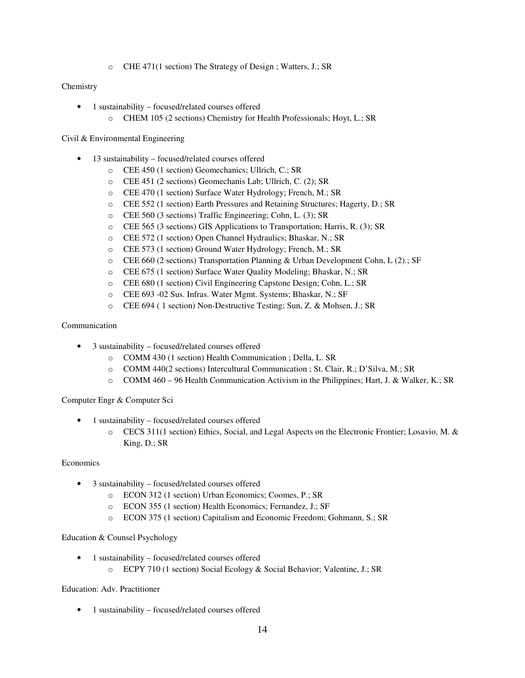o CHE 471(1 section) The Strategy of Design ; Watters, J.; SR

### **Chemistry**

- 1 sustainability focused/related courses offered
	- o CHEM 105 (2 sections) Chemistry for Health Professionals; Hoyt, L.; SR

### Civil & Environmental Engineering

- 13 sustainability focused/related courses offered
	- o CEE 450 (1 section) Geomechanics; Ullrich, C.; SR
	- o CEE 451 (2 sections) Geomechanis Lab; Ullrich, C. (2); SR
	- o CEE 470 (1 section) Surface Water Hydrology; French, M.; SR
	- o CEE 552 (1 section) Earth Pressures and Retaining Structures; Hagerty, D.; SR
	- o CEE 560 (3 sections) Traffic Engineering; Cohn, L. (3); SR
	- o CEE 565 (3 sections) GIS Applications to Transportation; Harris, R. (3); SR
	- o CEE 572 (1 section) Open Channel Hydraulics; Bhaskar, N.; SR
	- o CEE 573 (1 section) Ground Water Hydrology; French, M.; SR
	- o CEE 660 (2 sections) Transportation Planning & Urban Development Cohn, L (2).; SF
	- o CEE 675 (1 section) Surface Water Quality Modeling; Bhaskar, N.; SR
	- o CEE 680 (1 section) Civil Engineering Capstone Design; Cohn, L.; SR
	- o CEE 693 -02 Sus. Infras. Water Mgmt. Systems; Bhaskar, N.; SF
	- o CEE 694 ( 1 section) Non-Destructive Testing; Sun, Z. & Mohsen, J.; SR

# Communication

- 3 sustainability focused/related courses offered
	- o COMM 430 (1 section) Health Communication ; Della, L. SR
	- o COMM 440(2 sections) Intercultural Communication ; St. Clair, R.; D'Silva, M.; SR
	- o COMM 460 96 Health Communication Activism in the Philippines; Hart, J. & Walker, K.; SR

# Computer Engr & Computer Sci

- 1 sustainability focused/related courses offered
	- o CECS 311(1 section) Ethics, Social, and Legal Aspects on the Electronic Frontier; Losavio, M. & King, D.; SR

#### Economics

- 3 sustainability focused/related courses offered
	- o ECON 312 (1 section) Urban Economics; Coomes, P.; SR
	- o ECON 355 (1 section) Health Economics; Fernandez, J.; SF
	- o ECON 375 (1 section) Capitalism and Economic Freedom; Gohmann, S.; SR

# Education & Counsel Psychology

- 1 sustainability focused/related courses offered
	- o ECPY 710 (1 section) Social Ecology & Social Behavior; Valentine, J.; SR

# Education: Adv. Practitioner

• 1 sustainability – focused/related courses offered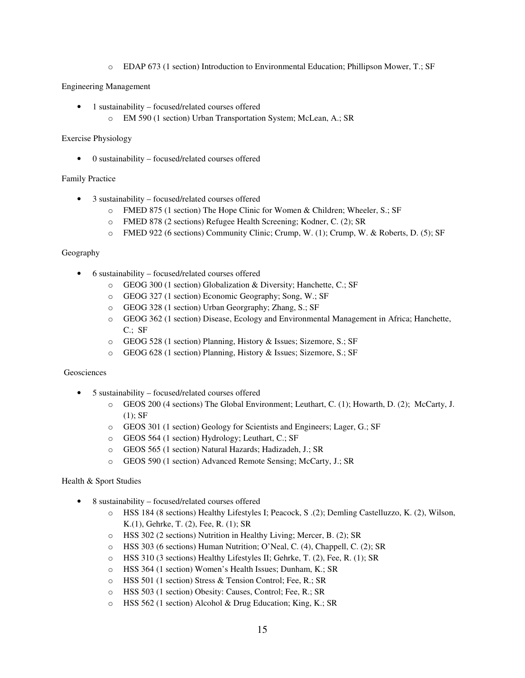o EDAP 673 (1 section) Introduction to Environmental Education; Phillipson Mower, T.; SF

Engineering Management

- 1 sustainability focused/related courses offered
	- o EM 590 (1 section) Urban Transportation System; McLean, A.; SR

### Exercise Physiology

• 0 sustainability – focused/related courses offered

### Family Practice

- 3 sustainability focused/related courses offered
	- o FMED 875 (1 section) The Hope Clinic for Women & Children; Wheeler, S.; SF
	- o FMED 878 (2 sections) Refugee Health Screening; Kodner, C. (2); SR
	- o FMED 922 (6 sections) Community Clinic; Crump, W. (1); Crump, W. & Roberts, D. (5); SF

#### Geography

- 6 sustainability focused/related courses offered
	- o GEOG 300 (1 section) Globalization & Diversity; Hanchette, C.; SF
	- o GEOG 327 (1 section) Economic Geography; Song, W.; SF
	- o GEOG 328 (1 section) Urban Georgraphy; Zhang, S.; SF
	- o GEOG 362 (1 section) Disease, Ecology and Environmental Management in Africa; Hanchette, C.; SF
	- o GEOG 528 (1 section) Planning, History & Issues; Sizemore, S.; SF
	- o GEOG 628 (1 section) Planning, History & Issues; Sizemore, S.; SF

#### Geosciences

- 5 sustainability focused/related courses offered
	- GEOS 200 (4 sections) The Global Environment; Leuthart, C. (1); Howarth, D. (2); McCarty, J.  $(1)$ : SF
	- o GEOS 301 (1 section) Geology for Scientists and Engineers; Lager, G.; SF
	- o GEOS 564 (1 section) Hydrology; Leuthart, C.; SF
	- o GEOS 565 (1 section) Natural Hazards; Hadizadeh, J.; SR
	- o GEOS 590 (1 section) Advanced Remote Sensing; McCarty, J.; SR

#### Health & Sport Studies

- 8 sustainability focused/related courses offered
	- o HSS 184 (8 sections) Healthy Lifestyles I; Peacock, S .(2); Demling Castelluzzo, K. (2), Wilson, K.(1), Gehrke, T. (2), Fee, R. (1); SR
	- o HSS 302 (2 sections) Nutrition in Healthy Living; Mercer, B. (2); SR
	- o HSS 303 (6 sections) Human Nutrition; O'Neal, C. (4), Chappell, C. (2); SR
	- o HSS 310 (3 sections) Healthy Lifestyles II; Gehrke, T. (2), Fee, R. (1); SR
	- o HSS 364 (1 section) Women's Health Issues; Dunham, K.; SR
	- o HSS 501 (1 section) Stress & Tension Control; Fee, R.; SR
	- o HSS 503 (1 section) Obesity: Causes, Control; Fee, R.; SR
	- o HSS 562 (1 section) Alcohol & Drug Education; King, K.; SR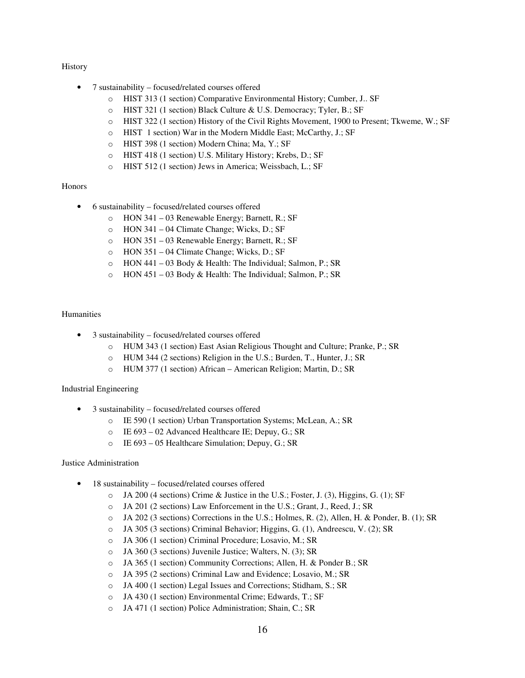# History

- 7 sustainability focused/related courses offered
	- o HIST 313 (1 section) Comparative Environmental History; Cumber, J.. SF
	- o HIST 321 (1 section) Black Culture & U.S. Democracy; Tyler, B.; SF
	- o HIST 322 (1 section) History of the Civil Rights Movement, 1900 to Present; Tkweme, W.; SF
	- o HIST 1 section) War in the Modern Middle East; McCarthy, J.; SF
	- o HIST 398 (1 section) Modern China; Ma, Y.; SF
	- o HIST 418 (1 section) U.S. Military History; Krebs, D.; SF
	- o HIST 512 (1 section) Jews in America; Weissbach, L.; SF

#### **Honors**

- 6 sustainability focused/related courses offered
	- o HON 341 03 Renewable Energy; Barnett, R.; SF
	- o HON 341 04 Climate Change; Wicks, D.; SF
	- o HON 351 03 Renewable Energy; Barnett, R.; SF
	- o HON 351 04 Climate Change; Wicks, D.; SF
	- o HON 441 03 Body & Health: The Individual; Salmon, P.; SR
	- o HON 451 03 Body & Health: The Individual; Salmon, P.; SR

### Humanities

- 3 sustainability focused/related courses offered
	- o HUM 343 (1 section) East Asian Religious Thought and Culture; Pranke, P.; SR
	- o HUM 344 (2 sections) Religion in the U.S.; Burden, T., Hunter, J.; SR
	- o HUM 377 (1 section) African American Religion; Martin, D.; SR

#### Industrial Engineering

- 3 sustainability focused/related courses offered
	- o IE 590 (1 section) Urban Transportation Systems; McLean, A.; SR
	- o IE 693 02 Advanced Healthcare IE; Depuy, G.; SR
	- o IE 693 05 Healthcare Simulation; Depuy, G.; SR

#### Justice Administration

- 18 sustainability focused/related courses offered
	- o JA 200 (4 sections) Crime & Justice in the U.S.; Foster, J. (3), Higgins, G. (1); SF
	- o JA 201 (2 sections) Law Enforcement in the U.S.; Grant, J., Reed, J.; SR
	- o JA 202 (3 sections) Corrections in the U.S.; Holmes, R. (2), Allen, H. & Ponder, B. (1); SR
	- o JA 305 (3 sections) Criminal Behavior; Higgins, G. (1), Andreescu, V. (2); SR
	- o JA 306 (1 section) Criminal Procedure; Losavio, M.; SR
	- o JA 360 (3 sections) Juvenile Justice; Walters, N. (3); SR
	- o JA 365 (1 section) Community Corrections; Allen, H. & Ponder B.; SR
	- o JA 395 (2 sections) Criminal Law and Evidence; Losavio, M.; SR
	- o JA 400 (1 section) Legal Issues and Corrections; Stidham, S.; SR
	- o JA 430 (1 section) Environmental Crime; Edwards, T.; SF
	- o JA 471 (1 section) Police Administration; Shain, C.; SR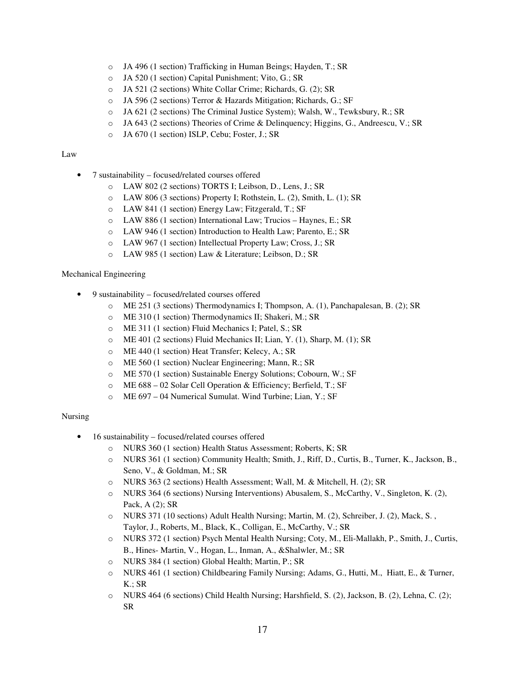- o JA 496 (1 section) Trafficking in Human Beings; Hayden, T.; SR
- o JA 520 (1 section) Capital Punishment; Vito, G.; SR
- o JA 521 (2 sections) White Collar Crime; Richards, G. (2); SR
- o JA 596 (2 sections) Terror & Hazards Mitigation; Richards, G.; SF
- o JA 621 (2 sections) The Criminal Justice System); Walsh, W., Tewksbury, R.; SR
- o JA 643 (2 sections) Theories of Crime & Delinquency; Higgins, G., Andreescu, V.; SR
- o JA 670 (1 section) ISLP, Cebu; Foster, J.; SR

#### Law

- 7 sustainability focused/related courses offered
	- o LAW 802 (2 sections) TORTS I; Leibson, D., Lens, J.; SR
	- o LAW 806 (3 sections) Property I; Rothstein, L. (2), Smith, L. (1); SR
	- o LAW 841 (1 section) Energy Law; Fitzgerald, T.; SF
	- o LAW 886 (1 section) International Law; Trucios Haynes, E.; SR
	- o LAW 946 (1 section) Introduction to Health Law; Parento, E.; SR
	- o LAW 967 (1 section) Intellectual Property Law; Cross, J.; SR
	- o LAW 985 (1 section) Law & Literature; Leibson, D.; SR

#### Mechanical Engineering

- 9 sustainability focused/related courses offered
	- o ME 251 (3 sections) Thermodynamics I; Thompson, A. (1), Panchapalesan, B. (2); SR
	- o ME 310 (1 section) Thermodynamics II; Shakeri, M.; SR
	- o ME 311 (1 section) Fluid Mechanics I; Patel, S.; SR
	- o ME 401 (2 sections) Fluid Mechanics II; Lian, Y. (1), Sharp, M. (1); SR
	- o ME 440 (1 section) Heat Transfer; Kelecy, A.; SR
	- o ME 560 (1 section) Nuclear Engineering; Mann, R.; SR
	- o ME 570 (1 section) Sustainable Energy Solutions; Cobourn, W.; SF
	- o ME 688 02 Solar Cell Operation & Efficiency; Berfield, T.; SF
	- o ME 697 04 Numerical Sumulat. Wind Turbine; Lian, Y.; SF

### Nursing

- 16 sustainability focused/related courses offered
	- o NURS 360 (1 section) Health Status Assessment; Roberts, K; SR
	- o NURS 361 (1 section) Community Health; Smith, J., Riff, D., Curtis, B., Turner, K., Jackson, B., Seno, V., & Goldman, M.; SR
	- o NURS 363 (2 sections) Health Assessment; Wall, M. & Mitchell, H. (2); SR
	- o NURS 364 (6 sections) Nursing Interventions) Abusalem, S., McCarthy, V., Singleton, K. (2), Pack, A (2); SR
	- o NURS 371 (10 sections) Adult Health Nursing; Martin, M. (2), Schreiber, J. (2), Mack, S. , Taylor, J., Roberts, M., Black, K., Colligan, E., McCarthy, V.; SR
	- o NURS 372 (1 section) Psych Mental Health Nursing; Coty, M., Eli-Mallakh, P., Smith, J., Curtis, B., Hines- Martin, V., Hogan, L., Inman, A., &Shalwler, M.; SR
	- o NURS 384 (1 section) Global Health; Martin, P.; SR
	- o NURS 461 (1 section) Childbearing Family Nursing; Adams, G., Hutti, M., Hiatt, E., & Turner, K.; SR
	- o NURS 464 (6 sections) Child Health Nursing; Harshfield, S. (2), Jackson, B. (2), Lehna, C. (2); SR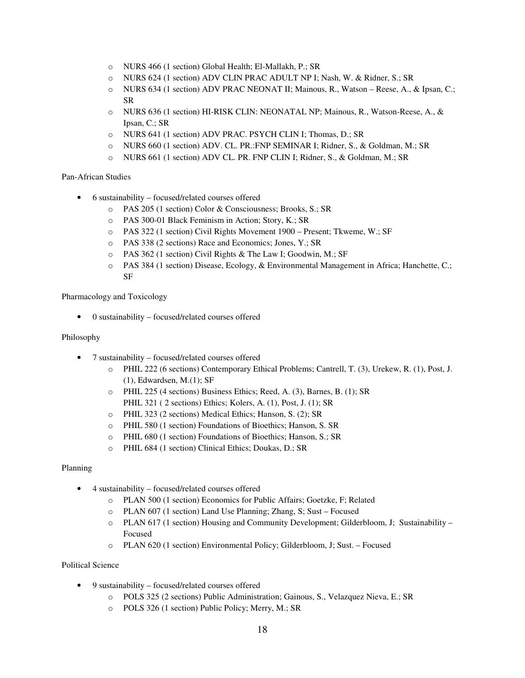- o NURS 466 (1 section) Global Health; El-Mallakh, P.; SR
- o NURS 624 (1 section) ADV CLIN PRAC ADULT NP I; Nash, W. & Ridner, S.; SR
- o NURS 634 (1 section) ADV PRAC NEONAT II; Mainous, R., Watson Reese, A., & Ipsan, C.; SR
- o NURS 636 (1 section) HI-RISK CLIN: NEONATAL NP; Mainous, R., Watson-Reese, A., & Ipsan, C.; SR
- o NURS 641 (1 section) ADV PRAC. PSYCH CLIN I; Thomas, D.; SR
- o NURS 660 (1 section) ADV. CL. PR.:FNP SEMINAR I; Ridner, S., & Goldman, M.; SR
- o NURS 661 (1 section) ADV CL. PR. FNP CLIN I; Ridner, S., & Goldman, M.; SR

### Pan-African Studies

- 6 sustainability focused/related courses offered
	- o PAS 205 (1 section) Color & Consciousness; Brooks, S.; SR
	- o PAS 300-01 Black Feminism in Action; Story, K.; SR
	- o PAS 322 (1 section) Civil Rights Movement 1900 Present; Tkweme, W.; SF
	- o PAS 338 (2 sections) Race and Economics; Jones, Y.; SR
	- o PAS 362 (1 section) Civil Rights & The Law I; Goodwin, M.; SF
	- o PAS 384 (1 section) Disease, Ecology, & Environmental Management in Africa; Hanchette, C.; SF

Pharmacology and Toxicology

• 0 sustainability – focused/related courses offered

#### Philosophy

- 7 sustainability focused/related courses offered
	- o PHIL 222 (6 sections) Contemporary Ethical Problems; Cantrell, T. (3), Urekew, R. (1), Post, J. (1), Edwardsen, M.(1); SF
	- o PHIL 225 (4 sections) Business Ethics; Reed, A. (3), Barnes, B. (1); SR PHIL 321 ( 2 sections) Ethics; Kolers, A. (1), Post, J. (1); SR
	- o PHIL 323 (2 sections) Medical Ethics; Hanson, S. (2); SR
	- o PHIL 580 (1 section) Foundations of Bioethics; Hanson, S. SR
	- o PHIL 680 (1 section) Foundations of Bioethics; Hanson, S.; SR
	- o PHIL 684 (1 section) Clinical Ethics; Doukas, D.; SR

#### Planning

- 4 sustainability focused/related courses offered
	- o PLAN 500 (1 section) Economics for Public Affairs; Goetzke, F; Related
	- o PLAN 607 (1 section) Land Use Planning; Zhang, S; Sust Focused
	- o PLAN 617 (1 section) Housing and Community Development; Gilderbloom, J; Sustainability Focused
	- o PLAN 620 (1 section) Environmental Policy; Gilderbloom, J; Sust. Focused

# Political Science

- 9 sustainability focused/related courses offered
	- o POLS 325 (2 sections) Public Administration; Gainous, S., Velazquez Nieva, E.; SR
	- o POLS 326 (1 section) Public Policy; Merry, M.; SR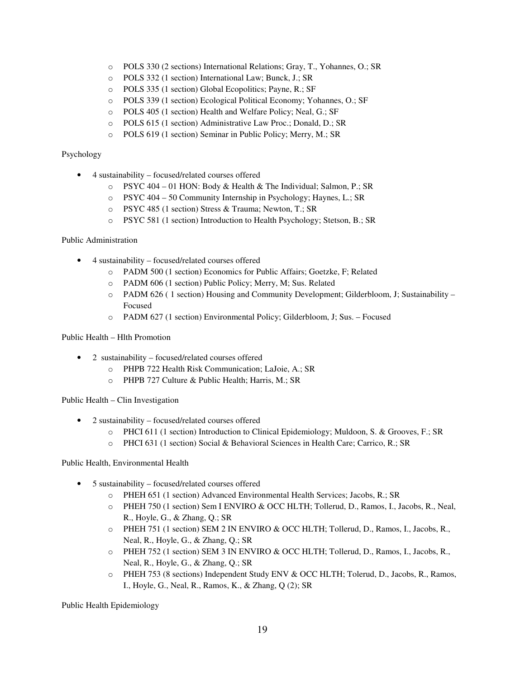- o POLS 330 (2 sections) International Relations; Gray, T., Yohannes, O.; SR
- o POLS 332 (1 section) International Law; Bunck, J.; SR
- o POLS 335 (1 section) Global Ecopolitics; Payne, R.; SF
- o POLS 339 (1 section) Ecological Political Economy; Yohannes, O.; SF
- o POLS 405 (1 section) Health and Welfare Policy; Neal, G.; SF
- o POLS 615 (1 section) Administrative Law Proc.; Donald, D.; SR
- o POLS 619 (1 section) Seminar in Public Policy; Merry, M.; SR

### Psychology

- 4 sustainability focused/related courses offered
	- o PSYC 404 01 HON: Body & Health & The Individual; Salmon, P.; SR
	- o PSYC 404 50 Community Internship in Psychology; Haynes, L.; SR
	- o PSYC 485 (1 section) Stress & Trauma; Newton, T.; SR
	- o PSYC 581 (1 section) Introduction to Health Psychology; Stetson, B.; SR

### Public Administration

- 4 sustainability focused/related courses offered
	- o PADM 500 (1 section) Economics for Public Affairs; Goetzke, F; Related
	- o PADM 606 (1 section) Public Policy; Merry, M; Sus. Related
	- o PADM 626 ( 1 section) Housing and Community Development; Gilderbloom, J; Sustainability Focused
	- o PADM 627 (1 section) Environmental Policy; Gilderbloom, J; Sus. Focused

### Public Health – Hlth Promotion

- 2 sustainability focused/related courses offered
	- o PHPB 722 Health Risk Communication; LaJoie, A.; SR
	- o PHPB 727 Culture & Public Health; Harris, M.; SR

Public Health – Clin Investigation

- 2 sustainability focused/related courses offered
	- o PHCI 611 (1 section) Introduction to Clinical Epidemiology; Muldoon, S. & Grooves, F.; SR
	- o PHCI 631 (1 section) Social & Behavioral Sciences in Health Care; Carrico, R.; SR

#### Public Health, Environmental Health

- 5 sustainability focused/related courses offered
	- o PHEH 651 (1 section) Advanced Environmental Health Services; Jacobs, R.; SR
	- o PHEH 750 (1 section) Sem I ENVIRO & OCC HLTH; Tollerud, D., Ramos, I., Jacobs, R., Neal, R., Hoyle, G., & Zhang, Q.; SR
	- o PHEH 751 (1 section) SEM 2 IN ENVIRO & OCC HLTH; Tollerud, D., Ramos, I., Jacobs, R., Neal, R., Hoyle, G., & Zhang, Q.; SR
	- o PHEH 752 (1 section) SEM 3 IN ENVIRO & OCC HLTH; Tollerud, D., Ramos, I., Jacobs, R., Neal, R., Hoyle, G., & Zhang, Q.; SR
	- o PHEH 753 (8 sections) Independent Study ENV & OCC HLTH; Tolerud, D., Jacobs, R., Ramos, I., Hoyle, G., Neal, R., Ramos, K., & Zhang, Q (2); SR

Public Health Epidemiology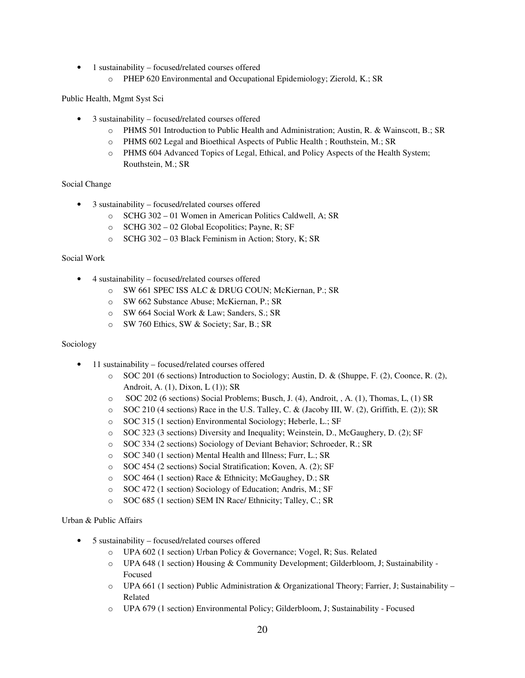- 1 sustainability focused/related courses offered
	- o PHEP 620 Environmental and Occupational Epidemiology; Zierold, K.; SR

Public Health, Mgmt Syst Sci

- 3 sustainability focused/related courses offered
	- o PHMS 501 Introduction to Public Health and Administration; Austin, R. & Wainscott, B.; SR
	- o PHMS 602 Legal and Bioethical Aspects of Public Health ; Routhstein, M.; SR
	- o PHMS 604 Advanced Topics of Legal, Ethical, and Policy Aspects of the Health System; Routhstein, M.; SR

# Social Change

- 3 sustainability focused/related courses offered
	- o SCHG 302 01 Women in American Politics Caldwell, A; SR
	- o SCHG 302 02 Global Ecopolitics; Payne, R; SF
	- o SCHG 302 03 Black Feminism in Action; Story, K; SR

### Social Work

- 4 sustainability focused/related courses offered
	- o SW 661 SPEC ISS ALC & DRUG COUN; McKiernan, P.; SR
	- o SW 662 Substance Abuse; McKiernan, P.; SR
	- o SW 664 Social Work & Law; Sanders, S.; SR
	- o SW 760 Ethics, SW & Society; Sar, B.; SR

# Sociology

- 11 sustainability focused/related courses offered
	- o SOC 201 (6 sections) Introduction to Sociology; Austin, D. & (Shuppe, F. (2), Coonce, R. (2), Androit, A. (1), Dixon, L (1)); SR
	- o SOC 202 (6 sections) Social Problems; Busch, J. (4), Androit, , A. (1), Thomas, L, (1) SR
	- o SOC 210 (4 sections) Race in the U.S. Talley, C. & (Jacoby III, W. (2), Griffith, E. (2)); SR
	- o SOC 315 (1 section) Environmental Sociology; Heberle, L.; SF
	- o SOC 323 (3 sections) Diversity and Inequality; Weinstein, D., McGaughery, D. (2); SF
	- o SOC 334 (2 sections) Sociology of Deviant Behavior; Schroeder, R.; SR
	- o SOC 340 (1 section) Mental Health and Illness; Furr, L.; SR
	- o SOC 454 (2 sections) Social Stratification; Koven, A. (2); SF
	- o SOC 464 (1 section) Race & Ethnicity; McGaughey, D.; SR
	- o SOC 472 (1 section) Sociology of Education; Andris, M.; SF
	- o SOC 685 (1 section) SEM IN Race/ Ethnicity; Talley, C.; SR

Urban & Public Affairs

- 5 sustainability focused/related courses offered
	- o UPA 602 (1 section) Urban Policy & Governance; Vogel, R; Sus. Related
	- o UPA 648 (1 section) Housing & Community Development; Gilderbloom, J; Sustainability Focused
	- o UPA 661 (1 section) Public Administration & Organizational Theory; Farrier, J; Sustainability Related
	- o UPA 679 (1 section) Environmental Policy; Gilderbloom, J; Sustainability Focused